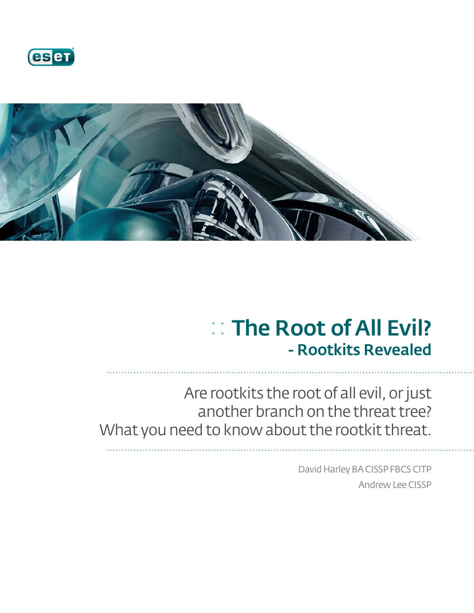



# :: The Root of All Evil? - Rootkits Revealed

Are rootkits the root of all evil, or just another branch on the threat tree? What you need to know about the rootkit threat.

> David Harley BA CISSP FBCS CITP Andrew Lee CISSP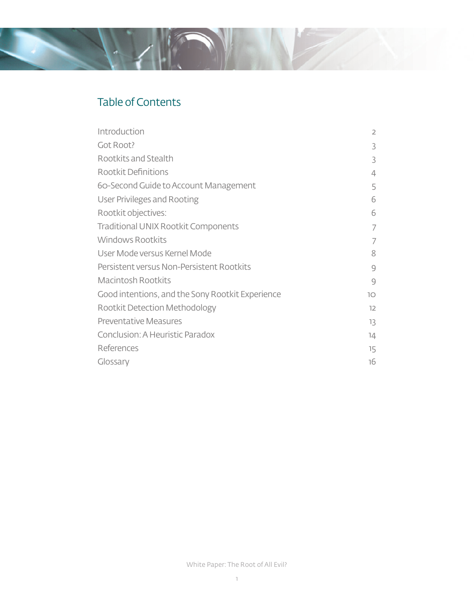#### Table of Contents

| Introduction                                     | $\overline{2}$ |
|--------------------------------------------------|----------------|
| Got Root?                                        | 3              |
| Rootkits and Stealth                             | 3              |
| Rootkit Definitions                              | 4              |
| 60-Second Guide to Account Management            | 5              |
| User Privileges and Rooting                      | 6              |
| Rootkit objectives:                              | 6              |
| Traditional UNIX Rootkit Components              | 7              |
| <b>Windows Rootkits</b>                          | 7              |
| User Mode versus Kernel Mode                     | 8              |
| Persistent versus Non-Persistent Rootkits        | 9              |
| <b>Macintosh Rootkits</b>                        | 9              |
| Good intentions, and the Sony Rootkit Experience | 10             |
| Rootkit Detection Methodology                    | 12             |
| <b>Preventative Measures</b>                     | 13             |
| Conclusion: A Heuristic Paradox                  | 14             |
| References                                       | 15             |
| Glossary                                         | 16             |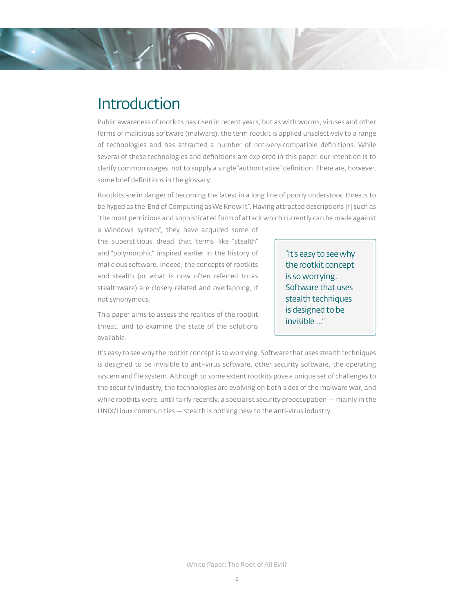

Public awareness of rootkits has risen in recent years, but as with worms, viruses and other forms of malicious software (malware), the term rootkit is applied unselectively to a range of technologies and has attracted a number of not-very-compatible definitions. While several of these technologies and definitions are explored in this paper, our intention is to clarify common usages, not to supply a single "authoritative" definition. There are, however, some brief definitions in the glossary.

Rootkits are in danger of becoming the latest in a long line of poorly understood threats to be hyped as the "End of Computing as We Know It". Having attracted descriptions [1] such as "the most pernicious and sophisticated form of attack which currently can be made against

a Windows system", they have acquired some of the superstitious dread that terms like "stealth" and "polymorphic" inspired earlier in the history of malicious software. Indeed, the concepts of rootkits and stealth (or what is now often referred to as stealthware) are closely related and overlapping, if not synonymous.

This paper aims to assess the realities of the rootkit threat, and to examine the state of the solutions available.

"It's easy to see why the rootkit concept is so worrying. Software that uses stealth techniques is designed to be invisible …"

It's easy to see why the rootkit concept is so worrying. Software that uses stealth techniques is designed to be invisible to anti-virus software, other security software, the operating system and file system. Although to some extent rootkits pose a unique set of challenges to the security industry, the technologies are evolving on both sides of the malware war, and while rootkits were, until fairly recently, a specialist security preoccupation — mainly in the UNIX/Linux communities — stealth is nothing new to the anti-virus industry.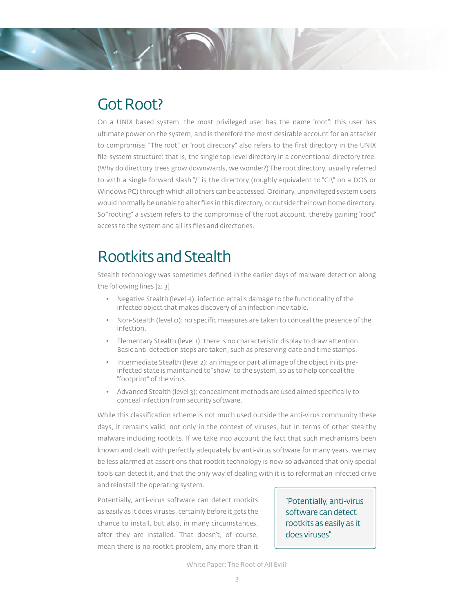

### Got Root?

On a UNIX based system, the most privileged user has the name "root": this user has ultimate power on the system, and is therefore the most desirable account for an attacker to compromise. "The root" or "root directory" also refers to the first directory in the UNIX file-system structure: that is, the single top-level directory in a conventional directory tree. (Why do directory trees grow downwards, we wonder?) The root directory, usually referred to with a single forward slash "/" is the directory (roughly equivalent to "C:\" on a DOS or Windows PC) through which all others can be accessed. Ordinary, unprivileged system users would normally be unable to alter files in this directory, or outside their own home directory. So "rooting" a system refers to the compromise of the root account, thereby gaining "root" access to the system and all its files and directories.

# Rootkits and Stealth

Stealth technology was sometimes defined in the earlier days of malware detection along the following lines [2; 3]

- Negative Stealth (level -1): infection entails damage to the functionality of the infected object that makes discovery of an infection inevitable.
- Non-Stealth (level 0): no specific measures are taken to conceal the presence of the infection.
- Elementary Stealth (level 1): there is no characteristic display to draw attention. Basic anti-detection steps are taken, such as preserving date and time stamps.
- Intermediate Stealth (level 2): an image or partial image of the object in its preinfected state is maintained to "show" to the system, so as to help conceal the "footprint" of the virus.
- Advanced Stealth (level 3): concealment methods are used aimed specifically to conceal infection from security software.

While this classification scheme is not much used outside the anti-virus community these days, it remains valid, not only in the context of viruses, but in terms of other stealthy malware including rootkits. If we take into account the fact that such mechanisms been known and dealt with perfectly adequately by anti-virus software for many years, we may be less alarmed at assertions that rootkit technology is now so advanced that only special tools can detect it, and that the only way of dealing with it is to reformat an infected drive and reinstall the operating system.

Potentially, anti-virus software can detect rootkits as easily as it does viruses, certainly before it gets the chance to install, but also, in many circumstances, after they are installed. That doesn't, of course, mean there is no rootkit problem, any more than it

"Potentially, anti-virus software can detect rootkits as easily as it does viruses"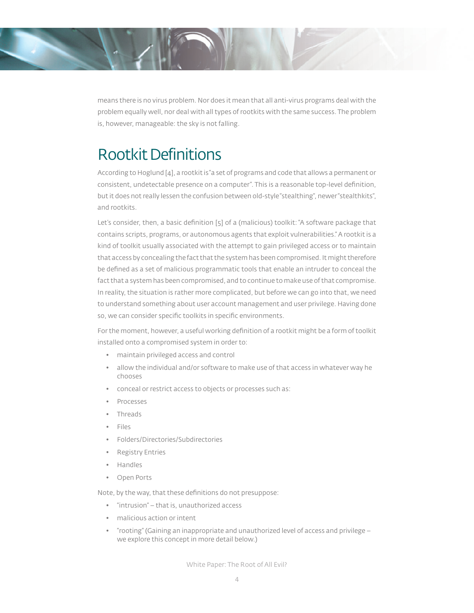means there is no virus problem. Nor does it mean that all anti-virus programs deal with the problem equally well, nor deal with all types of rootkits with the same success. The problem is, however, manageable: the sky is not falling.

# Rootkit Definitions

According to Hoglund [4], a rootkit is "a set of programs and code that allows a permanent or consistent, undetectable presence on a computer". This is a reasonable top-level definition, but it does not really lessen the confusion between old-style "stealthing", newer "stealthkits", and rootkits.

Let's consider, then, a basic definition [5] of a (malicious) toolkit: "A software package that contains scripts, programs, or autonomous agents that exploit vulnerabilities." A rootkit is a kind of toolkit usually associated with the attempt to gain privileged access or to maintain that access by concealing the fact that the system has been compromised. It might therefore be defined as a set of malicious programmatic tools that enable an intruder to conceal the fact that a system has been compromised, and to continue to make use of that compromise. In reality, the situation is rather more complicated, but before we can go into that, we need to understand something about user account management and user privilege. Having done so, we can consider specific toolkits in specific environments.

For the moment, however, a useful working definition of a rootkit might be a form of toolkit installed onto a compromised system in order to:

- maintain privileged access and control
- allow the individual and/or software to make use of that access in whatever way he chooses
- conceal or restrict access to objects or processes such as:
- Processes
- Threads
- Files
- Folders/Directories/Subdirectories
- Registry Entries
- Handles
- Open Ports

Note, by the way, that these definitions do not presuppose:

- "intrusion" that is, unauthorized access
- malicious action or intent
- "rooting" (Gaining an inappropriate and unauthorized level of access and privilege we explore this concept in more detail below.)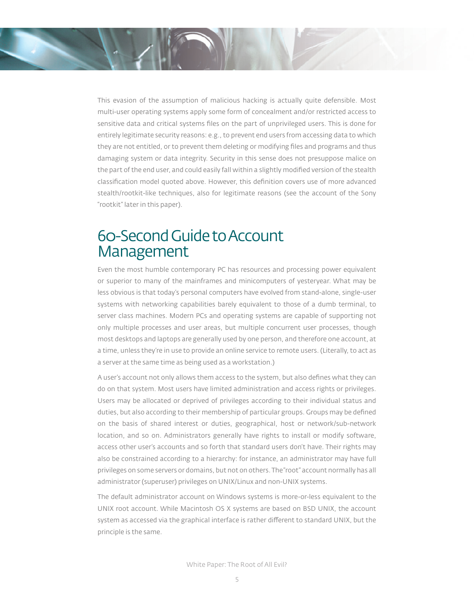This evasion of the assumption of malicious hacking is actually quite defensible. Most multi-user operating systems apply some form of concealment and/or restricted access to sensitive data and critical systems files on the part of unprivileged users. This is done for entirely legitimate security reasons: e.g., to prevent end users from accessing data to which they are not entitled, or to prevent them deleting or modifying files and programs and thus damaging system or data integrity. Security in this sense does not presuppose malice on the part of the end user, and could easily fall within a slightly modified version of the stealth classification model quoted above. However, this definition covers use of more advanced stealth/rootkit-like techniques, also for legitimate reasons (see the account of the Sony "rootkit" later in this paper).

### 60-Second Guide to Account Management

Even the most humble contemporary PC has resources and processing power equivalent or superior to many of the mainframes and minicomputers of yesteryear. What may be less obvious is that today's personal computers have evolved from stand-alone, single-user systems with networking capabilities barely equivalent to those of a dumb terminal, to server class machines. Modern PCs and operating systems are capable of supporting not only multiple processes and user areas, but multiple concurrent user processes, though most desktops and laptops are generally used by one person, and therefore one account, at a time, unless they're in use to provide an online service to remote users. (Literally, to act as a server at the same time as being used as a workstation.)

A user's account not only allows them access to the system, but also defines what they can do on that system. Most users have limited administration and access rights or privileges. Users may be allocated or deprived of privileges according to their individual status and duties, but also according to their membership of particular groups. Groups may be defined on the basis of shared interest or duties, geographical, host or network/sub-network location, and so on. Administrators generally have rights to install or modify software, access other user's accounts and so forth that standard users don't have. Their rights may also be constrained according to a hierarchy: for instance, an administrator may have full privileges on some servers or domains, but not on others. The "root" account normally has all administrator (superuser) privileges on UNIX/Linux and non-UNIX systems.

The default administrator account on Windows systems is more-or-less equivalent to the UNIX root account. While Macintosh OS X systems are based on BSD UNIX, the account system as accessed via the graphical interface is rather different to standard UNIX, but the principle is the same.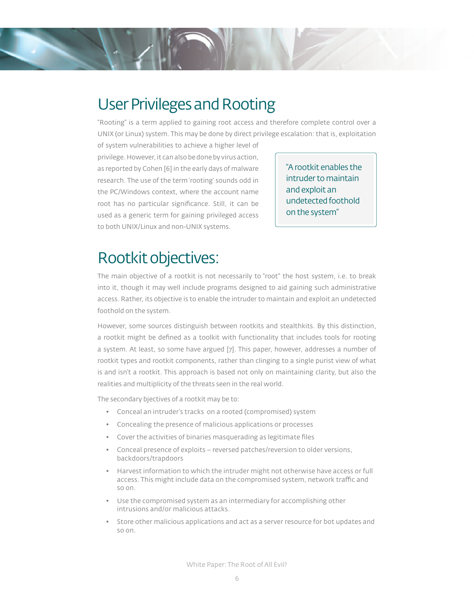## User Privileges and Rooting

"Rooting" is a term applied to gaining root access and therefore complete control over a UNIX (or Linux) system. This may be done by direct privilege escalation: that is, exploitation

of system vulnerabilities to achieve a higher level of privilege. However, it can also be done by virus action, as reported by Cohen [6] in the early days of malware research. The use of the term 'rooting' sounds odd in the PC/Windows context, where the account name root has no particular significance. Still, it can be used as a generic term for gaining privileged access to both UNIX/Linux and non-UNIX systems.

"A rootkit enables the intruder to maintain and exploit an undetected foothold on the system"

# Rootkit objectives:

The main objective of a rootkit is not necessarily to "root" the host system, i.e. to break into it, though it may well include programs designed to aid gaining such administrative access. Rather, its objective is to enable the intruder to maintain and exploit an undetected foothold on the system.

However, some sources distinguish between rootkits and stealthkits. By this distinction, a rootkit might be defined as a toolkit with functionality that includes tools for rooting a system. At least, so some have argued [7]. This paper, however, addresses a number of rootkit types and rootkit components, rather than clinging to a single purist view of what is and isn't a rootkit. This approach is based not only on maintaining clarity, but also the realities and multiplicity of the threats seen in the real world.

The secondary bjectives of a rootkit may be to:

- Conceal an intruder's tracks on a rooted (compromised) system
- Concealing the presence of malicious applications or processes
- Cover the activities of binaries masquerading as legitimate files
- Conceal presence of exploits reversed patches/reversion to older versions, backdoors/trapdoors
- Harvest information to which the intruder might not otherwise have access or full access. This might include data on the compromised system, network traffic and so on.
- Use the compromised system as an intermediary for accomplishing other intrusions and/or malicious attacks.
- Store other malicious applications and act as a server resource for bot updates and so on.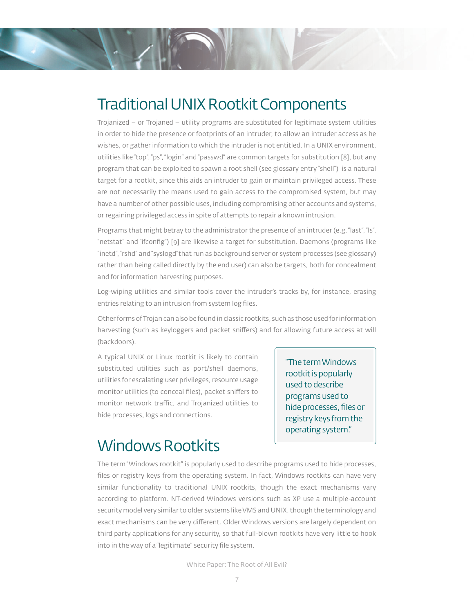

Trojanized – or Trojaned – utility programs are substituted for legitimate system utilities in order to hide the presence or footprints of an intruder, to allow an intruder access as he wishes, or gather information to which the intruder is not entitled. In a UNIX environment, utilities like "top", "ps", "login" and "passwd" are common targets for substitution [8], but any program that can be exploited to spawn a root shell (see glossary entry "shell") is a natural target for a rootkit, since this aids an intruder to gain or maintain privileged access. These are not necessarily the means used to gain access to the compromised system, but may have a number of other possible uses, including compromising other accounts and systems, or regaining privileged access in spite of attempts to repair a known intrusion.

Programs that might betray to the administrator the presence of an intruder (e.g. "last", "ls", "netstat" and "ifconfig") [9] are likewise a target for substitution. Daemons (programs like "inetd", "rshd" and "syslogd"that run as background server or system processes (see glossary) rather than being called directly by the end user) can also be targets, both for concealment and for information harvesting purposes.

Log-wiping utilities and similar tools cover the intruder's tracks by, for instance, erasing entries relating to an intrusion from system log files.

Other forms of Trojan can also be found in classic rootkits, such as those used for information harvesting (such as keyloggers and packet sniffers) and for allowing future access at will (backdoors).

A typical UNIX or Linux rootkit is likely to contain substituted utilities such as port/shell daemons, utilities for escalating user privileges, resource usage monitor utilities (to conceal files), packet sniffers to monitor network traffic, and Trojanized utilities to hide processes, logs and connections.

"The term Windows rootkit is popularly used to describe programs used to hide processes, files or registry keys from the operating system."

### Windows Rootkits

The term "Windows rootkit" is popularly used to describe programs used to hide processes, files or registry keys from the operating system. In fact, Windows rootkits can have very similar functionality to traditional UNIX rootkits, though the exact mechanisms vary according to platform. NT-derived Windows versions such as XP use a multiple-account security model very similar to older systems like VMS and UNIX, though the terminology and exact mechanisms can be very different. Older Windows versions are largely dependent on third party applications for any security, so that full-blown rootkits have very little to hook into in the way of a "legitimate" security file system.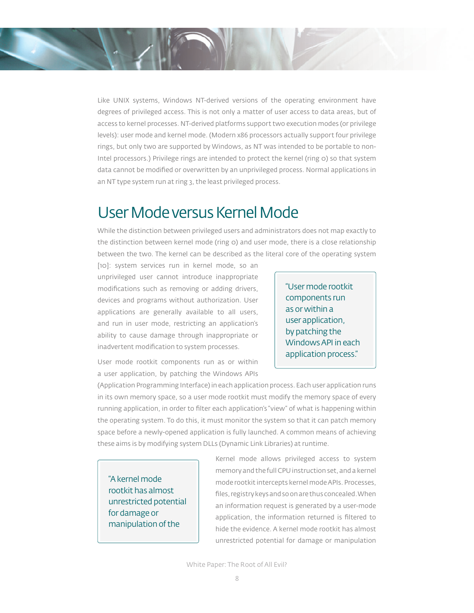Like UNIX systems, Windows NT-derived versions of the operating environment have degrees of privileged access. This is not only a matter of user access to data areas, but of access to kernel processes. NT-derived platforms support two execution modes (or privilege levels): user mode and kernel mode. (Modern x86 processors actually support four privilege rings, but only two are supported by Windows, as NT was intended to be portable to non-Intel processors.) Privilege rings are intended to protect the kernel (ring 0) so that system data cannot be modified or overwritten by an unprivileged process. Normal applications in an NT type system run at ring 3, the least privileged process.

### User Mode versus Kernel Mode

While the distinction between privileged users and administrators does not map exactly to the distinction between kernel mode (ring 0) and user mode, there is a close relationship between the two. The kernel can be described as the literal core of the operating system

[10]: system services run in kernel mode, so an unprivileged user cannot introduce inappropriate modifications such as removing or adding drivers, devices and programs without authorization. User applications are generally available to all users, and run in user mode, restricting an application's ability to cause damage through inappropriate or inadvertent modification to system processes.

"User mode rootkit components run as or within a user application, by patching the Windows API in each application process."

User mode rootkit components run as or within a user application, by patching the Windows APIs

(Application Programming Interface) in each application process. Each user application runs in its own memory space, so a user mode rootkit must modify the memory space of every running application, in order to filter each application's "view" of what is happening within the operating system. To do this, it must monitor the system so that it can patch memory space before a newly-opened application is fully launched. A common means of achieving these aims is by modifying system DLLs (Dynamic Link Libraries) at runtime.

"A kernel mode rootkit has almost unrestricted potential for damage or manipulation of the

Kernel mode allows privileged access to system memory and the full CPU instruction set, and a kernel mode rootkit intercepts kernel mode APIs. Processes, files, registry keys and so on are thus concealed. When an information request is generated by a user-mode application, the information returned is filtered to hide the evidence. A kernel mode rootkit has almost unrestricted potential for damage or manipulation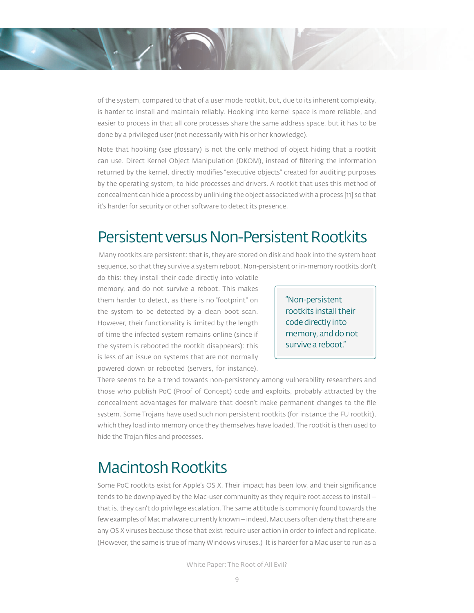of the system, compared to that of a user mode rootkit, but, due to its inherent complexity, is harder to install and maintain reliably. Hooking into kernel space is more reliable, and easier to process in that all core processes share the same address space, but it has to be done by a privileged user (not necessarily with his or her knowledge).

Note that hooking (see glossary) is not the only method of object hiding that a rootkit can use. Direct Kernel Object Manipulation (DKOM), instead of filtering the information returned by the kernel, directly modifies "executive objects" created for auditing purposes by the operating system, to hide processes and drivers. A rootkit that uses this method of concealment can hide a process by unlinking the object associated with a process [11] so that it's harder for security or other software to detect its presence.

#### Persistent versus Non-Persistent Rootkits

 Many rootkits are persistent: that is, they are stored on disk and hook into the system boot sequence, so that they survive a system reboot. Non-persistent or in-memory rootkits don't

do this: they install their code directly into volatile memory, and do not survive a reboot. This makes them harder to detect, as there is no "footprint" on the system to be detected by a clean boot scan. However, their functionality is limited by the length of time the infected system remains online (since if the system is rebooted the rootkit disappears): this is less of an issue on systems that are not normally powered down or rebooted (servers, for instance).

"Non-persistent rootkits install their code directly into memory, and do not survive a reboot."

There seems to be a trend towards non-persistency among vulnerability researchers and those who publish PoC (Proof of Concept) code and exploits, probably attracted by the concealment advantages for malware that doesn't make permanent changes to the file system. Some Trojans have used such non persistent rootkits (for instance the FU rootkit), which they load into memory once they themselves have loaded. The rootkit is then used to hide the Trojan files and processes.

### Macintosh Rootkits

Some PoC rootkits exist for Apple's OS X. Their impact has been low, and their significance tends to be downplayed by the Mac-user community as they require root access to install – that is, they can't do privilege escalation. The same attitude is commonly found towards the few examples of Mac malware currently known – indeed, Mac users often deny that there are any OS X viruses because those that exist require user action in order to infect and replicate. (However, the same is true of many Windows viruses.) It is harder for a Mac user to run as a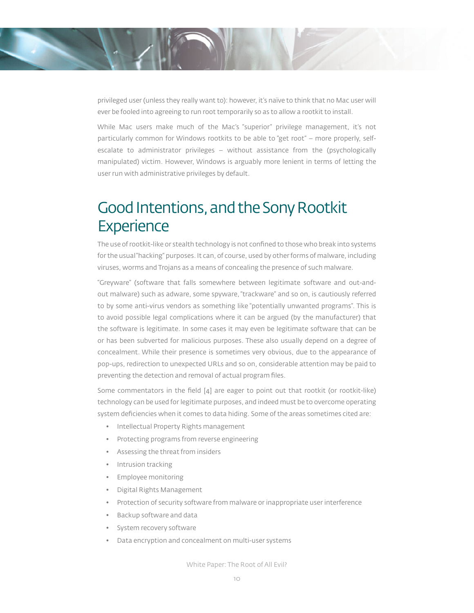privileged user (unless they really want to): however, it's naïve to think that no Mac user will ever be fooled into agreeing to run root temporarily so as to allow a rootkit to install.

While Mac users make much of the Mac's "superior" privilege management, it's not particularly common for Windows rootkits to be able to "get root" – more properly, selfescalate to administrator privileges – without assistance from the (psychologically manipulated) victim. However, Windows is arguably more lenient in terms of letting the user run with administrative privileges by default.

# Good Intentions, and the Sony Rootkit **Experience**

The use of rootkit-like or stealth technology is not confined to those who break into systems for the usual "hacking" purposes. It can, of course, used by other forms of malware, including viruses, worms and Trojans as a means of concealing the presence of such malware.

"Greyware" (software that falls somewhere between legitimate software and out-andout malware) such as adware, some spyware, "trackware" and so on, is cautiously referred to by some anti-virus vendors as something like "potentially unwanted programs". This is to avoid possible legal complications where it can be argued (by the manufacturer) that the software is legitimate. In some cases it may even be legitimate software that can be or has been subverted for malicious purposes. These also usually depend on a degree of concealment. While their presence is sometimes very obvious, due to the appearance of pop-ups, redirection to unexpected URLs and so on, considerable attention may be paid to preventing the detection and removal of actual program files.

Some commentators in the field  $[4]$  are eager to point out that rootkit (or rootkit-like) technology can be used for legitimate purposes, and indeed must be to overcome operating system deficiencies when it comes to data hiding. Some of the areas sometimes cited are:

- Intellectual Property Rights management
- Protecting programs from reverse engineering
- Assessing the threat from insiders
- Intrusion tracking
- Employee monitoring
- Digital Rights Management
- Protection of security software from malware or inappropriate user interference
- Backup software and data
- System recovery software
- Data encryption and concealment on multi-user systems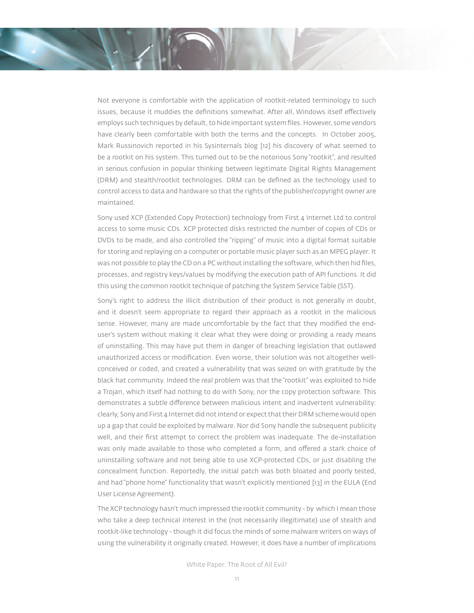Not everyone is comfortable with the application of rootkit-related terminology to such issues, because it muddies the definitions somewhat. After all, Windows itself effectively employs such techniques by default, to hide important system files. However, some vendors have clearly been comfortable with both the terms and the concepts. In October 2005, Mark Russinovich reported in his Sysinternals blog [12] his discovery of what seemed to be a rootkit on his system. This turned out to be the notorious Sony "rootkit", and resulted in serious confusion in popular thinking between legitimate Digital Rights Management (DRM) and stealth/rootkit technologies. DRM can be defined as the technology used to control access to data and hardware so that the rights of the publisher/copyright owner are maintained.

Sony used XCP (Extended Copy Protection) technology from First 4 Internet Ltd to control access to some music CDs. XCP protected disks restricted the number of copies of CDs or DVDs to be made, and also controlled the "ripping" of music into a digital format suitable for storing and replaying on a computer or portable music player such as an MPEG player. It was not possible to play the CD on a PC without installing the software, which then hid files, processes, and registry keys/values by modifying the execution path of API functions. It did this using the common rootkit technique of patching the System Service Table (SST).

Sony's right to address the illicit distribution of their product is not generally in doubt, and it doesn't seem appropriate to regard their approach as a rootkit in the malicious sense. However, many are made uncomfortable by the fact that they modified the enduser's system without making it clear what they were doing or providing a ready means of uninstalling. This may have put them in danger of breaching legislation that outlawed unauthorized access or modification. Even worse, their solution was not altogether wellconceived or coded, and created a vulnerability that was seized on with gratitude by the black hat community. Indeed the real problem was that the "rootkit" was exploited to hide a Trojan, which itself had nothing to do with Sony, nor the copy protection software. This demonstrates a subtle difference between malicious intent and inadvertent vulnerability: clearly, Sony and First 4 Internet did not intend or expect that their DRM scheme would open up a gap that could be exploited by malware. Nor did Sony handle the subsequent publicity well, and their first attempt to correct the problem was inadequate. The de-installation was only made available to those who completed a form, and offered a stark choice of uninstalling software and not being able to use XCP-protected CDs, or just disabling the concealment function. Reportedly, the initial patch was both bloated and poorly tested, and had "phone home" functionality that wasn't explicitly mentioned [13] in the EULA (End User License Agreement).

The XCP technology hasn't much impressed the rootkit community - by which I mean those who take a deep technical interest in the (not necessarily illegitimate) use of stealth and rootkit-like technology - though it did focus the minds of some malware writers on ways of using the vulnerability it originally created. However, it does have a number of implications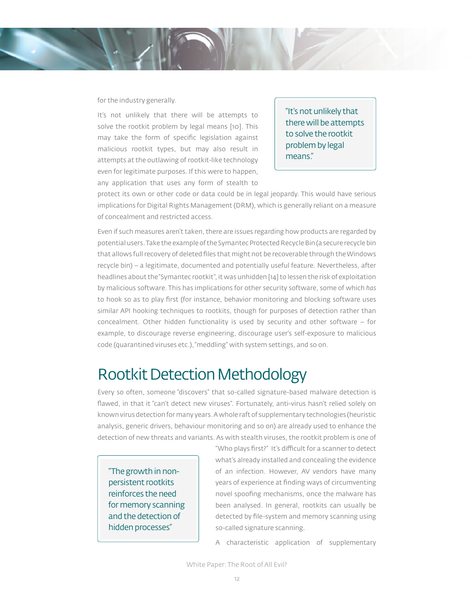#### for the industry generally.

It's not unlikely that there will be attempts to solve the rootkit problem by legal means [10]. This may take the form of specific legislation against malicious rootkit types, but may also result in attempts at the outlawing of rootkit-like technology even for legitimate purposes. If this were to happen, any application that uses any form of stealth to

"It's not unlikely that there will be attempts to solve the rootkit problem by legal means."

protect its own or other code or data could be in legal jeopardy. This would have serious implications for Digital Rights Management (DRM), which is generally reliant on a measure of concealment and restricted access.

Even if such measures aren't taken, there are issues regarding how products are regarded by potential users. Take the example of the Symantec Protected Recycle Bin (a secure recycle bin that allows full recovery of deleted files that might not be recoverable through the Windows recycle bin) – a legitimate, documented and potentially useful feature. Nevertheless, after headlines about the "Symantec rootkit", it was unhidden [14] to lessen the risk of exploitation by malicious software. This has implications for other security software, some of which *has* to hook so as to play first (for instance, behavior monitoring and blocking software uses similar API hooking techniques to rootkits, though for purposes of detection rather than concealment. Other hidden functionality is used by security and other software – for example, to discourage reverse engineering, discourage user's self-exposure to malicious code (quarantined viruses etc.), "meddling" with system settings, and so on.

### Rootkit Detection Methodology

Every so often, someone "discovers" that so-called signature-based malware detection is flawed, in that it "can't detect new viruses". Fortunately, anti-virus hasn't relied solely on known virus detection for many years. A whole raft of supplementary technologies (heuristic analysis, generic drivers, behaviour monitoring and so on) are already used to enhance the detection of new threats and variants. As with stealth viruses, the rootkit problem is one of

"The growth in nonpersistent rootkits reinforces the need for memory scanning and the detection of hidden processes"

"Who plays first?" It's difficult for a scanner to detect what's already installed and concealing the evidence of an infection. However, AV vendors have many years of experience at finding ways of circumventing novel spoofing mechanisms, once the malware has been analysed. In general, rootkits can usually be detected by file-system and memory scanning using so-called signature scanning.

A characteristic application of supplementary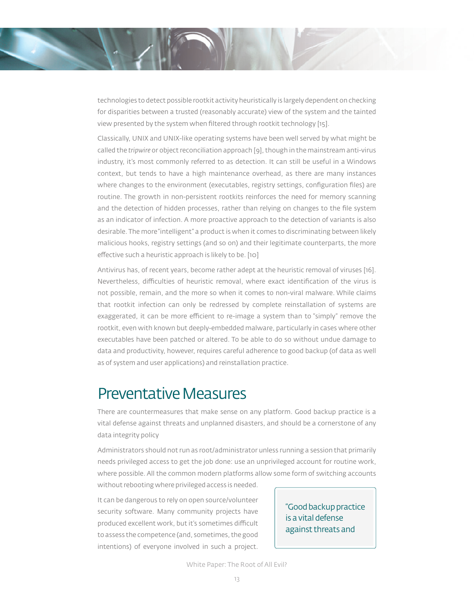technologies to detect possible rootkit activity heuristically is largely dependent on checking for disparities between a trusted (reasonably accurate) view of the system and the tainted view presented by the system when filtered through rootkit technology [15].

Classically, UNIX and UNIX-like operating systems have been well served by what might be called the *tripwire* or object reconciliation approach [9], though in the mainstream anti-virus industry, it's most commonly referred to as detection. It can still be useful in a Windows context, but tends to have a high maintenance overhead, as there are many instances where changes to the environment (executables, registry settings, configuration files) are routine. The growth in non-persistent rootkits reinforces the need for memory scanning and the detection of hidden processes, rather than relying on changes to the file system as an indicator of infection. A more proactive approach to the detection of variants is also desirable. The more "intelligent" a product is when it comes to discriminating between likely malicious hooks, registry settings (and so on) and their legitimate counterparts, the more effective such a heuristic approach is likely to be. [10]

Antivirus has, of recent years, become rather adept at the heuristic removal of viruses [16]. Nevertheless, difficulties of heuristic removal, where exact identification of the virus is not possible, remain, and the more so when it comes to non-viral malware. While claims that rootkit infection can only be redressed by complete reinstallation of systems are exaggerated, it can be more efficient to re-image a system than to "simply" remove the rootkit, even with known but deeply-embedded malware, particularly in cases where other executables have been patched or altered. To be able to do so without undue damage to data and productivity, however, requires careful adherence to good backup (of data as well as of system and user applications) and reinstallation practice.

### Preventative Measures

There are countermeasures that make sense on any platform. Good backup practice is a vital defense against threats and unplanned disasters, and should be a cornerstone of any data integrity policy

Administrators should not run as root/administrator unless running a session that primarily needs privileged access to get the job done: use an unprivileged account for routine work, where possible. All the common modern platforms allow some form of switching accounts

without rebooting where privileged access is needed.

It can be dangerous to rely on open source/volunteer security software. Many community projects have produced excellent work, but it's sometimes difficult to assess the competence (and, sometimes, the good intentions) of everyone involved in such a project.

"Good backup practice is a vital defense against threats and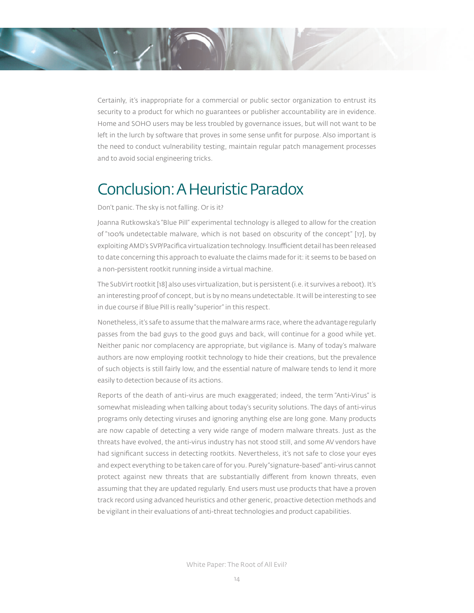Certainly, it's inappropriate for a commercial or public sector organization to entrust its security to a product for which no guarantees or publisher accountability are in evidence. Home and SOHO users may be less troubled by governance issues, but will not want to be left in the lurch by software that proves in some sense unfit for purpose. Also important is the need to conduct vulnerability testing, maintain regular patch management processes and to avoid social engineering tricks.

# Conclusion: A Heuristic Paradox

#### Don't panic. The sky is not falling. Or is it?

Joanna Rutkowska's "Blue Pill" experimental technology is alleged to allow for the creation of "100% undetectable malware, which is not based on obscurity of the concept" [17], by exploiting AMD's SVP/Pacifica virtualization technology. Insufficient detail has been released to date concerning this approach to evaluate the claims made for it: it seems to be based on a non-persistent rootkit running inside a virtual machine.

The SubVirt rootkit [18] also uses virtualization, but is persistent (i.e. it survives a reboot). It's an interesting proof of concept, but is by no means undetectable. It will be interesting to see in due course if Blue Pill is really "superior" in this respect.

Nonetheless, it's safe to assume that the malware arms race, where the advantage regularly passes from the bad guys to the good guys and back, will continue for a good while yet. Neither panic nor complacency are appropriate, but vigilance is. Many of today's malware authors are now employing rootkit technology to hide their creations, but the prevalence of such objects is still fairly low, and the essential nature of malware tends to lend it more easily to detection because of its actions.

Reports of the death of anti-virus are much exaggerated; indeed, the term "Anti-Virus" is somewhat misleading when talking about today's security solutions. The days of anti-virus programs only detecting viruses and ignoring anything else are long gone. Many products are now capable of detecting a very wide range of modern malware threats. Just as the threats have evolved, the anti-virus industry has not stood still, and some AV vendors have had significant success in detecting rootkits. Nevertheless, it's not safe to close your eyes and expect everything to be taken care of for you. Purely "signature-based" anti-virus cannot protect against new threats that are substantially different from known threats, even assuming that they are updated regularly. End users must use products that have a proven track record using advanced heuristics and other generic, proactive detection methods and be vigilant in their evaluations of anti-threat technologies and product capabilities.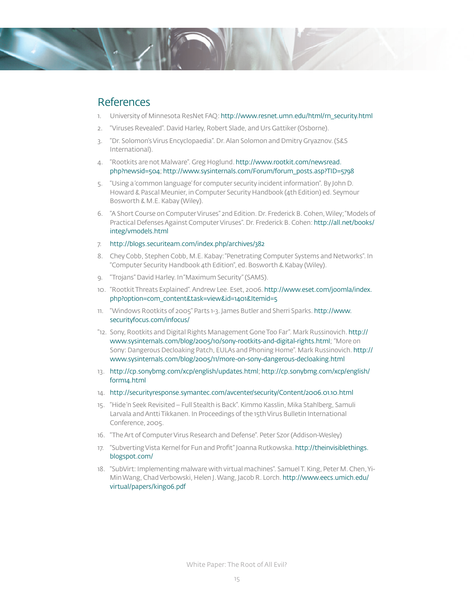

#### References

- 1. University of Minnesota ResNet FAQ: http://www.resnet.umn.edu/html/rn\_security.html
- 2. "Viruses Revealed". David Harley, Robert Slade, and Urs Gattiker (Osborne).
- 3. "Dr. Solomon's Virus Encyclopaedia". Dr. Alan Solomon and Dmitry Gryaznov. (S&S International).
- 4. "Rootkits are not Malware". Greg Hoglund. http://www.rootkit.com/newsread. php?newsid=504; http://www.sysinternals.com/Forum/forum\_posts.asp?TID=5798
- 5. "Using a 'common language' for computer security incident information". By John D. Howard & Pascal Meunier, in Computer Security Handbook (4th Edition) ed. Seymour Bosworth & M.E. Kabay (Wiley).
- 6. "A Short Course on Computer Viruses" 2nd Edition. Dr. Frederick B. Cohen, Wiley; "Models of Practical Defenses Against Computer Viruses". Dr. Frederick B. Cohen: http://all.net/books/ integ/vmodels.html
- 7. http://blogs.securiteam.com/index.php/archives/382
- 8. Chey Cobb, Stephen Cobb, M.E. Kabay: "Penetrating Computer Systems and Networks". In "Computer Security Handbook 4th Edition", ed. Bosworth & Kabay (Wiley).
- 9. "Trojans" David Harley. In "Maximum Security" (SAMS).
- 10. "Rootkit Threats Explained". Andrew Lee. Eset, 2006. http://www.eset.com/joomla/index. php?option=com\_content&task=view&id=1401&Itemid=5
- 11. "Windows Rootkits of 2005" Parts 1-3. James Butler and Sherri Sparks. http://www. securityfocus.com/infocus/
- "12. Sony, Rootkits and Digital Rights Management Gone Too Far". Mark Russinovich. http:// www.sysinternals.com/blog/2005/10/sony-rootkits-and-digital-rights.html; "More on Sony: Dangerous Decloaking Patch, EULAs and Phoning Home". Mark Russinovich. http:// www.sysinternals.com/blog/2005/11/more-on-sony-dangerous-decloaking.html
- 13. http://cp.sonybmg.com/xcp/english/updates.html; http://cp.sonybmg.com/xcp/english/ form14.html
- 14. http://securityresponse.symantec.com/avcenter/security/Content/2006.01.10.html
- 15. "Hide 'n Seek Revisited Full Stealth is Back". Kimmo Kasslin, Mika Stahlberg, Samuli Larvala and Antti Tikkanen. In Proceedings of the 15th Virus Bulletin International Conference, 2005.
- 16. "The Art of Computer Virus Research and Defense". Peter Szor (Addison-Wesley)
- 17. "Subverting Vista Kernel for Fun and Profit" Joanna Rutkowska. http://theinvisiblethings. blogspot.com/
- 18. "SubVirt: Implementing malware with virtual machines". Samuel T. King, Peter M. Chen, Yi-Min Wang, Chad Verbowski, Helen J. Wang, Jacob R. Lorch. http://www.eecs.umich.edu/ virtual/papers/king06.pdf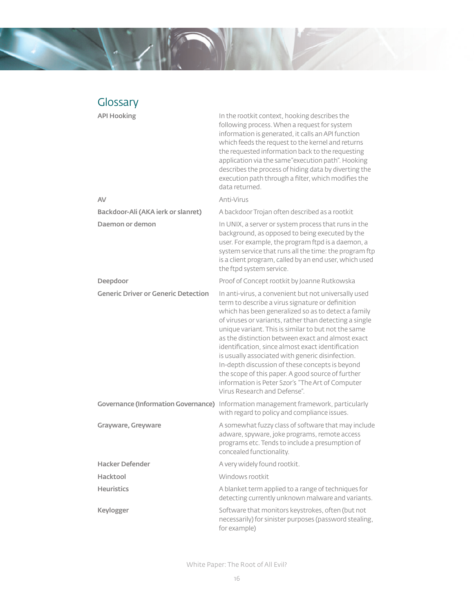

| Glossary                                   |                                                                                                                                                                                                                                                                                                                                                                                                                                                                                                                                                                                                                                            |
|--------------------------------------------|--------------------------------------------------------------------------------------------------------------------------------------------------------------------------------------------------------------------------------------------------------------------------------------------------------------------------------------------------------------------------------------------------------------------------------------------------------------------------------------------------------------------------------------------------------------------------------------------------------------------------------------------|
| <b>API Hooking</b>                         | In the rootkit context, hooking describes the<br>following process. When a request for system<br>information is generated, it calls an API function<br>which feeds the request to the kernel and returns<br>the requested information back to the requesting<br>application via the same "execution path". Hooking<br>describes the process of hiding data by diverting the<br>execution path through a filter, which modifies the<br>data returned.                                                                                                                                                                                       |
| AV                                         | Anti-Virus                                                                                                                                                                                                                                                                                                                                                                                                                                                                                                                                                                                                                                 |
| Backdoor-Ali (AKA ierk or slanret)         | A backdoor Trojan often described as a rootkit                                                                                                                                                                                                                                                                                                                                                                                                                                                                                                                                                                                             |
| Daemon or demon                            | In UNIX, a server or system process that runs in the<br>background, as opposed to being executed by the<br>user. For example, the program ftpd is a daemon, a<br>system service that runs all the time: the program ftp<br>is a client program, called by an end user, which used<br>the ftpd system service.                                                                                                                                                                                                                                                                                                                              |
| Deepdoor                                   | Proof of Concept rootkit by Joanne Rutkowska                                                                                                                                                                                                                                                                                                                                                                                                                                                                                                                                                                                               |
| <b>Generic Driver or Generic Detection</b> | In anti-virus, a convenient but not universally used<br>term to describe a virus signature or definition<br>which has been generalized so as to detect a family<br>of viruses or variants, rather than detecting a single<br>unique variant. This is similar to but not the same<br>as the distinction between exact and almost exact<br>identification, since almost exact identification<br>is usually associated with generic disinfection.<br>In-depth discussion of these concepts is beyond<br>the scope of this paper. A good source of further<br>information is Peter Szor's "The Art of Computer<br>Virus Research and Defense". |
|                                            | Governance (Information Governance) Information management framework, particularly<br>with regard to policy and compliance issues.                                                                                                                                                                                                                                                                                                                                                                                                                                                                                                         |
| Grayware, Greyware                         | A somewhat fuzzy class of software that may include<br>adware, spyware, joke programs, remote access<br>programs etc. Tends to include a presumption of<br>concealed functionality.                                                                                                                                                                                                                                                                                                                                                                                                                                                        |
| <b>Hacker Defender</b>                     | A very widely found rootkit.                                                                                                                                                                                                                                                                                                                                                                                                                                                                                                                                                                                                               |
| Hacktool                                   | Windows rootkit                                                                                                                                                                                                                                                                                                                                                                                                                                                                                                                                                                                                                            |
| <b>Heuristics</b>                          | A blanket term applied to a range of techniques for<br>detecting currently unknown malware and variants.                                                                                                                                                                                                                                                                                                                                                                                                                                                                                                                                   |
| Keylogger                                  | Software that monitors keystrokes, often (but not<br>necessarily) for sinister purposes (password stealing,<br>for example)                                                                                                                                                                                                                                                                                                                                                                                                                                                                                                                |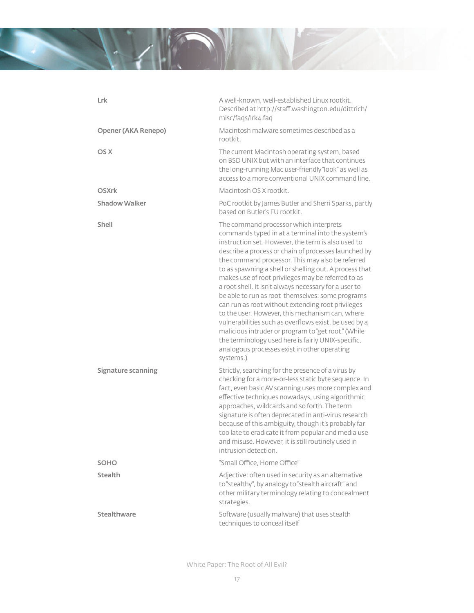

| Lrk                  | A well-known, well-established Linux rootkit.<br>Described at http://staff.washington.edu/dittrich/<br>misc/faqs/lrk4.faq                                                                                                                                                                                                                                                                                                                                                                                                                                                                                                                                                                                                                                                                                                             |
|----------------------|---------------------------------------------------------------------------------------------------------------------------------------------------------------------------------------------------------------------------------------------------------------------------------------------------------------------------------------------------------------------------------------------------------------------------------------------------------------------------------------------------------------------------------------------------------------------------------------------------------------------------------------------------------------------------------------------------------------------------------------------------------------------------------------------------------------------------------------|
| Opener (AKA Renepo)  | Macintosh malware sometimes described as a<br>rootkit.                                                                                                                                                                                                                                                                                                                                                                                                                                                                                                                                                                                                                                                                                                                                                                                |
| OS X                 | The current Macintosh operating system, based<br>on BSD UNIX but with an interface that continues<br>the long-running Mac user-friendly"look" as well as<br>access to a more conventional UNIX command line.                                                                                                                                                                                                                                                                                                                                                                                                                                                                                                                                                                                                                          |
| <b>OSXrk</b>         | Macintosh OS X rootkit.                                                                                                                                                                                                                                                                                                                                                                                                                                                                                                                                                                                                                                                                                                                                                                                                               |
| <b>Shadow Walker</b> | PoC rootkit by James Butler and Sherri Sparks, partly<br>based on Butler's FU rootkit.                                                                                                                                                                                                                                                                                                                                                                                                                                                                                                                                                                                                                                                                                                                                                |
| Shell                | The command processor which interprets<br>commands typed in at a terminal into the system's<br>instruction set. However, the term is also used to<br>describe a process or chain of processes launched by<br>the command processor. This may also be referred<br>to as spawning a shell or shelling out. A process that<br>makes use of root privileges may be referred to as<br>a root shell. It isn't always necessary for a user to<br>be able to run as root themselves: some programs<br>can run as root without extending root privileges<br>to the user. However, this mechanism can, where<br>vulnerabilities such as overflows exist, be used by a<br>malicious intruder or program to "get root." (While<br>the terminology used here is fairly UNIX-specific,<br>analogous processes exist in other operating<br>systems.) |
| Signature scanning   | Strictly, searching for the presence of a virus by<br>checking for a more-or-less static byte sequence. In<br>fact, even basic AV scanning uses more complex and<br>effective techniques nowadays, using algorithmic<br>approaches, wildcards and so forth. The term<br>signature is often deprecated in anti-virus research<br>because of this ambiguity, though it's probably far<br>too late to eradicate it from popular and media use<br>and misuse. However, it is still routinely used in<br>intrusion detection.                                                                                                                                                                                                                                                                                                              |
| <b>SOHO</b>          | "Small Office, Home Office"                                                                                                                                                                                                                                                                                                                                                                                                                                                                                                                                                                                                                                                                                                                                                                                                           |
| <b>Stealth</b>       | Adjective: often used in security as an alternative<br>to "stealthy", by analogy to "stealth aircraft" and<br>other military terminology relating to concealment<br>strategies.                                                                                                                                                                                                                                                                                                                                                                                                                                                                                                                                                                                                                                                       |
| Stealthware          | Software (usually malware) that uses stealth<br>techniques to conceal itself                                                                                                                                                                                                                                                                                                                                                                                                                                                                                                                                                                                                                                                                                                                                                          |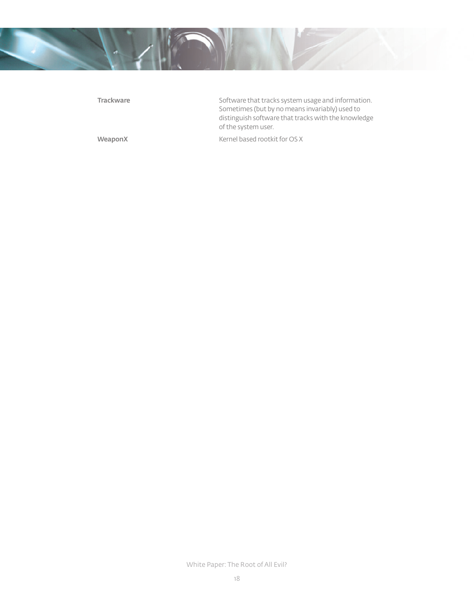

**Trackware Softw**are that tracks system usage and information. Sometimes (but by no means invariably) used to distinguish software that tracks with the knowledge of the system user. WeaponX Kernel based rootkit for OS X